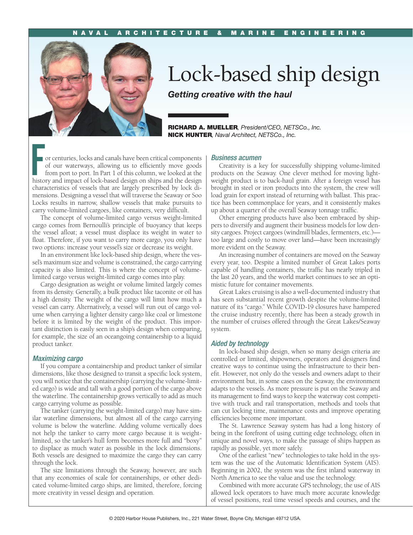

## Lock-based ship design

*Getting creative with the haul*

RICHARD A. MUELLER*, President/CEO, NETSCo., Inc.* NICK HUNTER*, Naval Architect, NETSCo., Inc.*

For centuries, locks and canals have been critical components of our waterways, allowing us to efficiently move goods from port to port. In Part 1 of this column, we looked at the history and impact of lock-based design on of our waterways, allowing us to efficiently move goods from port to port. In Part 1 of this column, we looked at the characteristics of vessels that are largely prescribed by lock dimensions. Designing a vessel that will traverse the Seaway or Soo Locks results in narrow, shallow vessels that make pursuits to carry volume-limited cargoes, like containers, very difficult.

The concept of volume-limited cargo versus weight-limited cargo comes from Bernoulli's principle of buoyancy that keeps the vessel afloat; a vessel must displace its weight in water to float. Therefore, if you want to carry more cargo, you only have two options: increase your vessel's size or decrease its weight.

In an environment like lock-based ship design, where the vessel's maximum size and volume is constrained, the cargo carrying capacity is also limited. This is where the concept of volumelimited cargo versus weight-limited cargo comes into play.

Cargo designation as weight or volume limited largely comes from its density. Generally, a bulk product like taconite or oil has a high density. The weight of the cargo will limit how much a vessel can carry. Alternatively, a vessel will run out of cargo volume when carrying a lighter density cargo like coal or limestone before it is limited by the weight of the product. This important distinction is easily seen in a ship's design when comparing, for example, the size of an oceangoing containership to a liquid product tanker.

## *Maximizing cargo*

If you compare a containership and product tanker of similar dimensions, like those designed to transit a specific lock system, you will notice that the containership (carrying the volume-limited cargo) is wide and tall with a good portion of the cargo above the waterline. The containership grows vertically to add as much cargo carrying volume as possible.

The tanker (carrying the weight-limited cargo) may have similar waterline dimensions, but almost all of the cargo carrying volume is below the waterline. Adding volume vertically does not help the tanker to carry more cargo because it is weightlimited, so the tanker's hull form becomes more full and "boxy" to displace as much water as possible in the lock dimensions. Both vessels are designed to maximize the cargo they can carry through the lock.

The size limitations through the Seaway, however, are such that any economies of scale for containerships, or other dedicated volume-limited cargo ships, are limited, therefore, forcing more creativity in vessel design and operation.

## *Business acumen*

Creativity is a key for successfully shipping volume-limited products on the Seaway. One clever method for moving lightweight product is to back-haul grain. After a foreign vessel has brought in steel or iron products into the system, the crew will load grain for export instead of returning with ballast. This practice has been commonplace for years, and it consistently makes up about a quarter of the overall Seaway tonnage traffic.

Other emerging products have also been embraced by shippers to diversify and augment their business models for low density cargoes. Project cargoes (windmill blades, fermenters, etc.) too large and costly to move over land—have been increasingly more evident on the Seaway.

An increasing number of containers are moved on the Seaway every year, too. Despite a limited number of Great Lakes ports capable of handling containers, the traffic has nearly tripled in the last 20 years, and the world market continues to see an optimistic future for container movements.

Great Lakes cruising is also a well-documented industry that has seen substantial recent growth despite the volume-limited nature of its "cargo." While COVID-19 closures have hampered the cruise industry recently, there has been a steady growth in the number of cruises offered through the Great Lakes/Seaway system.

## *Aided by technology*

In lock-based ship design, when so many design criteria are controlled or limited, shipowners, operators and designers find creative ways to continue using the infrastructure to their benefit. However, not only do the vessels and owners adapt to their environment but, in some cases on the Seaway, the environment adapts to the vessels. As more pressure is put on the Seaway and its management to find ways to keep the waterway cost competitive with truck and rail transportation, methods and tools that can cut locking time, maintenance costs and improve operating efficiencies become more important.

The St. Lawrence Seaway system has had a long history of being in the forefront of using cutting edge technology, often in unique and novel ways, to make the passage of ships happen as rapidly as possible, yet more safely.

One of the earliest "new" technologies to take hold in the system was the use of the Automatic Identification System (AIS). Beginning in 2002, the system was the first inland waterway in North America to see the value and use the technology.

Combined with more accurate GPS technology, the use of AIS allowed lock operators to have much more accurate knowledge of vessel positions, real time vessel speeds and courses, and the